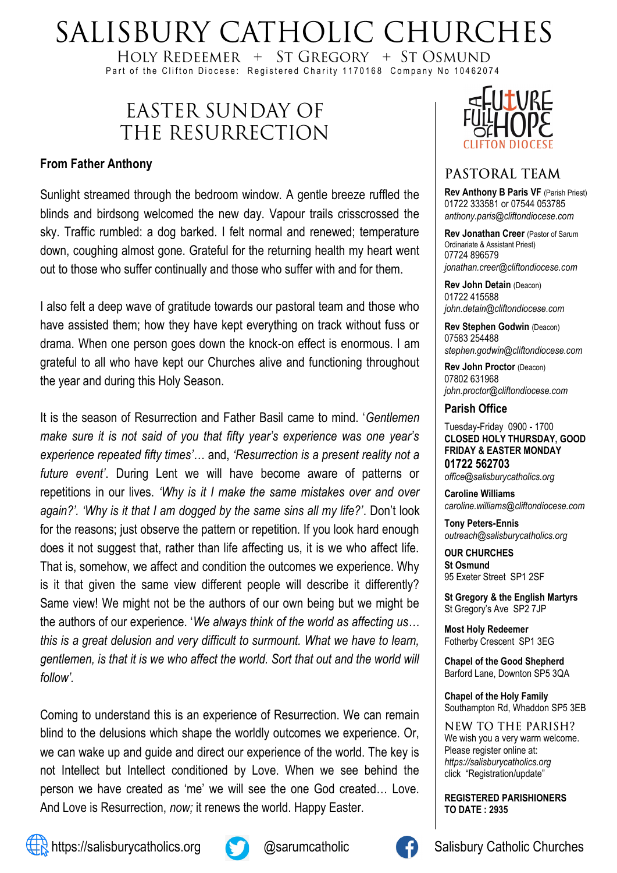# SALISBURY CATHOLIC CHURCHES

HOLY REDEEMER  $+$  ST GREGORY  $+$  ST OSMUND Part of the Clifton Diocese: Registered Charity 1170168 Company No 10462074

## EASTER SUNDAY OF THE RESURRECTION

#### **From Father Anthony**

Sunlight streamed through the bedroom window. A gentle breeze ruffled the blinds and birdsong welcomed the new day. Vapour trails crisscrossed the sky. Traffic rumbled: a dog barked. I felt normal and renewed; temperature down, coughing almost gone. Grateful for the returning health my heart went out to those who suffer continually and those who suffer with and for them.

I also felt a deep wave of gratitude towards our pastoral team and those who have assisted them; how they have kept everything on track without fuss or drama. When one person goes down the knock-on effect is enormous. I am grateful to all who have kept our Churches alive and functioning throughout the year and during this Holy Season.

It is the season of Resurrection and Father Basil came to mind. '*Gentlemen make sure it is not said of you that fifty year's experience was one year's experience repeated fifty times'…* and, *'Resurrection is a present reality not a future event'*. During Lent we will have become aware of patterns or repetitions in our lives. *'Why is it I make the same mistakes over and over again?'. 'Why is it that I am dogged by the same sins all my life?'*. Don't look for the reasons; just observe the pattern or repetition. If you look hard enough does it not suggest that, rather than life affecting us, it is we who affect life. That is, somehow, we affect and condition the outcomes we experience. Why is it that given the same view different people will describe it differently? Same view! We might not be the authors of our own being but we might be the authors of our experience. '*We always think of the world as affecting us… this is a great delusion and very difficult to surmount. What we have to learn, gentlemen, is that it is we who affect the world. Sort that out and the world will follow'.* 

Coming to understand this is an experience of Resurrection. We can remain blind to the delusions which shape the worldly outcomes we experience. Or, we can wake up and guide and direct our experience of the world. The key is not Intellect but Intellect conditioned by Love. When we see behind the person we have created as 'me' we will see the one God created… Love. And Love is Resurrection, *now;* it renews the world. Happy Easter.



#### PASTORAL TEAM

**Rev Anthony B Paris VF (Parish Priest)** 01722 333581 or 07544 053785 *anthony.paris@cliftondiocese.com*

**Rev Jonathan Creer** (Pastor of Sarum Ordinariate & Assistant Priest) 07724 896579 *jonathan.creer@cliftondiocese.com*

**Rev John Detain** (Deacon) 01722 415588 *john.detain@cliftondiocese.com*

**Rev Stephen Godwin** (Deacon) 07583 254488 *stephen.godwin@cliftondiocese.com*

**Rev John Proctor** (Deacon) 07802 631968 *john.proctor@cliftondiocese.com*

#### **Parish Office**

Tuesday-Friday 0900 - 1700 **CLOSED HOLY THURSDAY, GOOD FRIDAY & EASTER MONDAY 01722 562703** *office@salisburycatholics.org*

**Caroline Williams** *caroline.williams@cliftondiocese.com*

**Tony Peters-Ennis** *outreach@salisburycatholics.org*

**OUR CHURCHES St Osmund** 95 Exeter Street SP1 2SF

**St Gregory & the English Martyrs** St Gregory's Ave SP2 7JP

**Most Holy Redeemer**  Fotherby Crescent SP1 3EG

**Chapel of the Good Shepherd** Barford Lane, Downton SP5 3QA

**Chapel of the Holy Family** Southampton Rd, Whaddon SP5 3EB

NEW TO THE PARISH? We wish you a very warm welcome. Please register online at: *[https://salisburycatholics.org](https://p1.pamis.co.uk/salisbury/onlined01cab)*  [click "Registration/update"](https://p1.pamis.co.uk/salisbury/onlined01cab) 

**REGISTERED PARISHIONERS TO DATE : 2935**





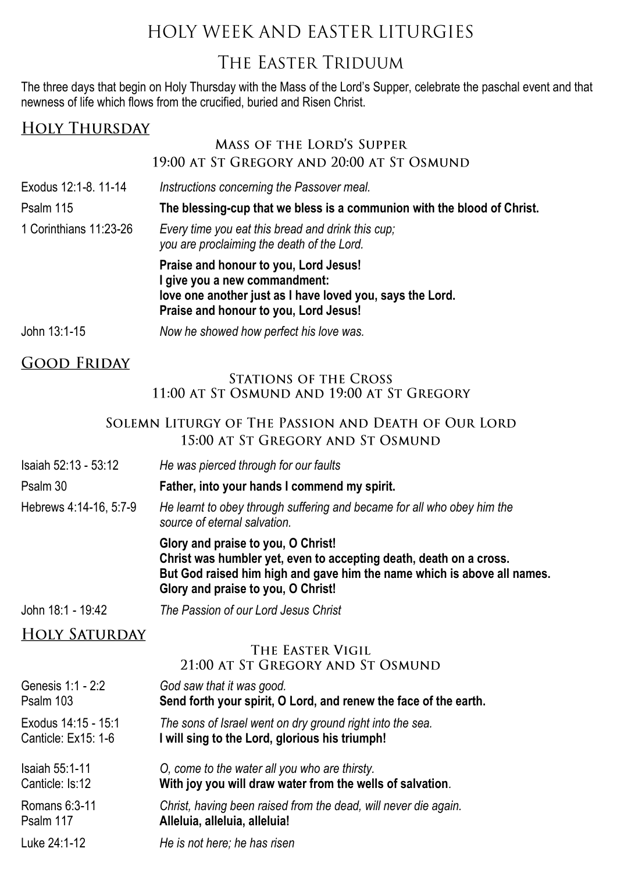## HOLY WEEK AND EASTER LITURGIES

### THE EASTER TRIDUUM

The three days that begin on Holy Thursday with the Mass of the Lord's Supper, celebrate the paschal event and that newness of life which flows from the crucified, buried and Risen Christ.

| <b>HOLY THURSDAY</b>                                                                                                                                      |                                                                                                                                                                                                                           |  |  |  |  |
|-----------------------------------------------------------------------------------------------------------------------------------------------------------|---------------------------------------------------------------------------------------------------------------------------------------------------------------------------------------------------------------------------|--|--|--|--|
|                                                                                                                                                           | <b>MASS OF THE LORD'S SUPPER</b>                                                                                                                                                                                          |  |  |  |  |
|                                                                                                                                                           | 19:00 AT ST GREGORY AND 20:00 AT ST OSMUND                                                                                                                                                                                |  |  |  |  |
| Exodus 12:1-8. 11-14                                                                                                                                      | Instructions concerning the Passover meal.                                                                                                                                                                                |  |  |  |  |
| Psalm 115                                                                                                                                                 | The blessing-cup that we bless is a communion with the blood of Christ.                                                                                                                                                   |  |  |  |  |
| 1 Corinthians 11:23-26                                                                                                                                    | Every time you eat this bread and drink this cup;<br>you are proclaiming the death of the Lord.                                                                                                                           |  |  |  |  |
|                                                                                                                                                           | Praise and honour to you, Lord Jesus!<br>I give you a new commandment:<br>love one another just as I have loved you, says the Lord.<br>Praise and honour to you, Lord Jesus!                                              |  |  |  |  |
| John 13:1-15                                                                                                                                              | Now he showed how perfect his love was.                                                                                                                                                                                   |  |  |  |  |
| <u>GOOD FRIDAY</u>                                                                                                                                        |                                                                                                                                                                                                                           |  |  |  |  |
|                                                                                                                                                           | <b>STATIONS OF THE CROSS</b><br>11:00 AT ST OSMUND AND 19:00 AT ST GREGORY                                                                                                                                                |  |  |  |  |
|                                                                                                                                                           | SOLEMN LITURGY OF THE PASSION AND DEATH OF OUR LORD<br>15:00 AT ST GREGORY AND ST OSMUND                                                                                                                                  |  |  |  |  |
| Isaiah 52:13 - 53:12                                                                                                                                      | He was pierced through for our faults                                                                                                                                                                                     |  |  |  |  |
| Psalm 30                                                                                                                                                  | Father, into your hands I commend my spirit.                                                                                                                                                                              |  |  |  |  |
| Hebrews 4:14-16, 5:7-9                                                                                                                                    | He learnt to obey through suffering and became for all who obey him the<br>source of eternal salvation.                                                                                                                   |  |  |  |  |
|                                                                                                                                                           | Glory and praise to you, O Christ!<br>Christ was humbler yet, even to accepting death, death on a cross.<br>But God raised him high and gave him the name which is above all names.<br>Glory and praise to you, O Christ! |  |  |  |  |
| John 18:1 - 19:42                                                                                                                                         | The Passion of our Lord Jesus Christ                                                                                                                                                                                      |  |  |  |  |
| <b>HOLY SATURDAY</b>                                                                                                                                      |                                                                                                                                                                                                                           |  |  |  |  |
|                                                                                                                                                           | THE EASTER VIGIL<br>21:00 AT ST GREGORY AND ST OSMUND                                                                                                                                                                     |  |  |  |  |
| Genesis 1:1 - 2:2<br>Psalm 103                                                                                                                            | God saw that it was good.<br>Send forth your spirit, O Lord, and renew the face of the earth.                                                                                                                             |  |  |  |  |
| Exodus 14:15 - 15:1<br>The sons of Israel went on dry ground right into the sea.<br>I will sing to the Lord, glorious his triumph!<br>Canticle: Ex15: 1-6 |                                                                                                                                                                                                                           |  |  |  |  |
| Isaiah 55:1-11<br>Canticle: Is:12                                                                                                                         | O, come to the water all you who are thirsty.<br>With joy you will draw water from the wells of salvation.                                                                                                                |  |  |  |  |
| Romans 6:3-11<br>Psalm 117                                                                                                                                | Christ, having been raised from the dead, will never die again.<br>Alleluia, alleluia, alleluia!                                                                                                                          |  |  |  |  |
| Luke 24:1-12                                                                                                                                              | He is not here; he has risen                                                                                                                                                                                              |  |  |  |  |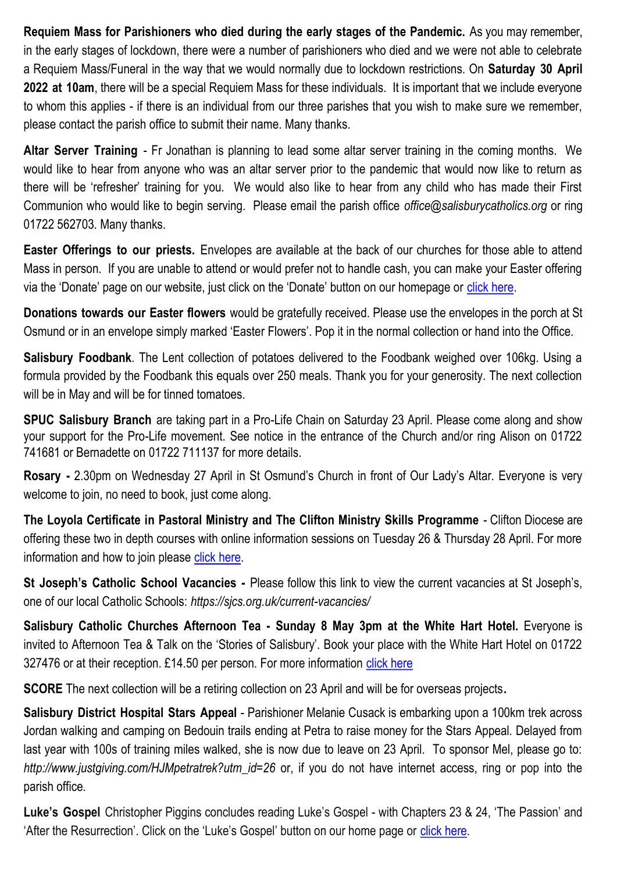**Requiem Mass for Parishioners who died during the early stages of the Pandemic.** As you may remember, in the early stages of lockdown, there were a number of parishioners who died and we were not able to celebrate a Requiem Mass/Funeral in the way that we would normally due to lockdown restrictions. On **Saturday 30 April 2022 at 10am**, there will be a special Requiem Mass for these individuals. It is important that we include everyone to whom this applies - if there is an individual from our three parishes that you wish to make sure we remember, please contact the parish office to submit their name. Many thanks.

**Altar Server Training** - Fr Jonathan is planning to lead some altar server training in the coming months. We would like to hear from anyone who was an altar server prior to the pandemic that would now like to return as there will be 'refresher' training for you. We would also like to hear from any child who has made their First Communion who would like to begin serving. Please email the parish office *office@salisburycatholics.org* or ring 01722 562703. Many thanks.

**Easter Offerings to our priests.** Envelopes are available at the back of our churches for those able to attend Mass in person. If you are unable to attend or would prefer not to handle cash, you can make your Easter offering via the 'Donate' page on our website, just click on the 'Donate' button on our homepage or click here.

**Donations towards our Easter flowers** would be gratefully received. Please use the envelopes in the porch at St Osmund or in an envelope simply marked 'Easter Flowers'. Pop it in the normal collection or hand into the Office.

**Salisbury Foodbank**. The Lent collection of potatoes delivered to the Foodbank weighed over 106kg. Using a formula provided by the Foodbank this equals over 250 meals. Thank you for your generosity. The next collection will be in May and will be for tinned tomatoes.

**SPUC Salisbury Branch** are taking part in a Pro-Life Chain on Saturday 23 April. Please come along and show your support for the Pro-Life movement. See notice in the entrance of the Church and/or ring Alison on 01722 741681 or Bernadette on 01722 711137 for more details.

**Rosary -** 2.30pm on Wednesday 27 April in St Osmund's Church in front of Our Lady's Altar. Everyone is very welcome to join, no need to book, just come along.

**The Loyola Certificate in Pastoral Ministry and The Clifton Ministry Skills Programme** - Clifton Diocese are offering these two in depth courses with online information sessions on Tuesday 26 & Thursday 28 April. For more information and how to join please [click here.](https://salisburycatholics.org/blog/pastoral-ministry-information-evenings)

**St Joseph's Catholic School Vacancies -** Please follow this link to view the current vacancies at St Joseph's, one of our local Catholic Schools: *https://sjcs.org.uk/current-vacancies/*

**Salisbury Catholic Churches Afternoon Tea - Sunday 8 May 3pm at the White Hart Hotel.** Everyone is invited to Afternoon Tea & Talk on the 'Stories of Salisbury'. Book your place with the White Hart Hotel on 01722 327476 or at their reception. £14.50 per person. For more information [click here](https://salisburycatholics.org/blog/salisbury-catholic-churches-afternoon-tea)

**SCORE** The next collection will be a retiring collection on 23 April and will be for overseas projects**.**

**Salisbury District Hospital Stars Appeal** - Parishioner Melanie Cusack is embarking upon a 100km trek across Jordan walking and camping on Bedouin trails ending at Petra to raise money for the Stars Appeal. Delayed from last year with 100s of training miles walked, she is now due to leave on 23 April. To sponsor Mel, please go to: *http://www.justgiving.com/HJMpetratrek?utm\_id=26* or, if you do not have internet access, ring or pop into the parish office.

**Luke's Gospel** Christopher Piggins concludes reading Luke's Gospel - with Chapters 23 & 24, 'The Passion' and 'After the Resurrection'. Click on the 'Luke's Gospel' button on our home page or [click here.](https://salisburycatholics.org/lukes-gospel)